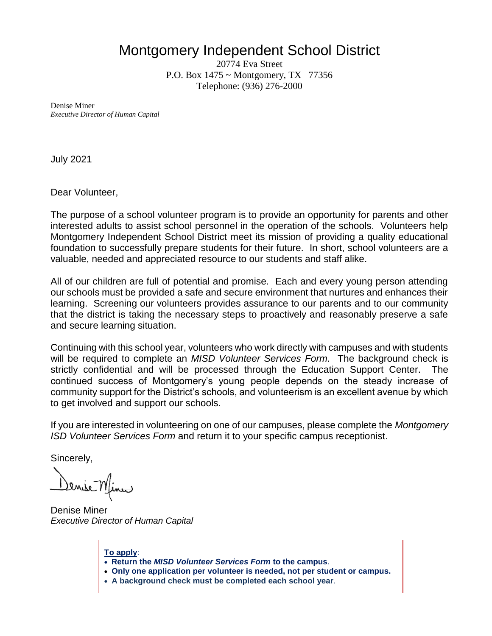## Montgomery Independent School District

20774 Eva Street P.O. Box 1475 ~ Montgomery, TX 77356 Telephone: (936) 276-2000

Denise Miner *Executive Director of Human Capital*

July 2021

Dear Volunteer,

The purpose of a school volunteer program is to provide an opportunity for parents and other interested adults to assist school personnel in the operation of the schools. Volunteers help Montgomery Independent School District meet its mission of providing a quality educational foundation to successfully prepare students for their future. In short, school volunteers are a valuable, needed and appreciated resource to our students and staff alike.

All of our children are full of potential and promise. Each and every young person attending our schools must be provided a safe and secure environment that nurtures and enhances their learning. Screening our volunteers provides assurance to our parents and to our community that the district is taking the necessary steps to proactively and reasonably preserve a safe and secure learning situation.

Continuing with this school year, volunteers who work directly with campuses and with students will be required to complete an *MISD Volunteer Services Form*. The background check is strictly confidential and will be processed through the Education Support Center. The continued success of Montgomery's young people depends on the steady increase of community support for the District's schools, and volunteerism is an excellent avenue by which to get involved and support our schools.

If you are interested in volunteering on one of our campuses, please complete the *Montgomery ISD Volunteer Services Form* and return it to your specific campus receptionist.

Sincerely,

<u>Senise Minu</u>

Denise Miner *Executive Director of Human Capital*

- **To apply**:
- **Return the** *MISD Volunteer Services Form* **to the campus**.
- **Only one application per volunteer is needed, not per student or campus.**
- **A background check must be completed each school year**.